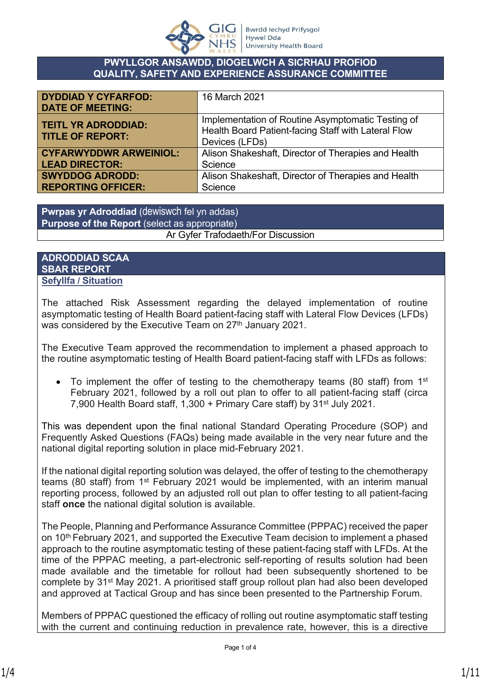

## **PWYLLGOR ANSAWDD, DIOGELWCH A SICRHAU PROFIOD QUALITY, SAFETY AND EXPERIENCE ASSURANCE COMMITTEE**

| <b>DYDDIAD Y CYFARFOD:</b><br><b>DATE OF MEETING:</b> | 16 March 2021                                                                                                              |
|-------------------------------------------------------|----------------------------------------------------------------------------------------------------------------------------|
| <b>TEITL YR ADRODDIAD:</b><br><b>TITLE OF REPORT:</b> | Implementation of Routine Asymptomatic Testing of<br>Health Board Patient-facing Staff with Lateral Flow<br>Devices (LFDs) |
| <b>CYFARWYDDWR ARWEINIOL:</b>                         | Alison Shakeshaft, Director of Therapies and Health                                                                        |
| <b>LEAD DIRECTOR:</b>                                 | Science                                                                                                                    |
| <b>SWYDDOG ADRODD:</b>                                | Alison Shakeshaft, Director of Therapies and Health                                                                        |
| <b>REPORTING OFFICER:</b>                             | Science                                                                                                                    |

**Pwrpas yr Adroddiad** (dewiswch fel yn addas) **Purpose of the Report** (select as appropriate)

## Ar Gyfer Trafodaeth/For Discussion

# **ADRODDIAD SCAA SBAR REPORT Sefyllfa / Situation**

The attached Risk Assessment regarding the delayed implementation of routine asymptomatic testing of Health Board patient-facing staff with Lateral Flow Devices (LFDs) was considered by the Executive Team on 27<sup>th</sup> January 2021.

The Executive Team approved the recommendation to implement a phased approach to the routine asymptomatic testing of Health Board patient-facing staff with LFDs as follows:

 $\bullet$  To implement the offer of testing to the chemotherapy teams (80 staff) from 1<sup>st</sup> February 2021, followed by a roll out plan to offer to all patient-facing staff (circa 7,900 Health Board staff, 1,300 + Primary Care staff) by 31<sup>st</sup> July 2021.

This was dependent upon the final national Standard Operating Procedure (SOP) and Frequently Asked Questions (FAQs) being made available in the very near future and the national digital reporting solution in place mid-February 2021.

If the national digital reporting solution was delayed, the offer of testing to the chemotherapy teams (80 staff) from 1<sup>st</sup> February 2021 would be implemented, with an interim manual reporting process, followed by an adjusted roll out plan to offer testing to all patient-facing staff **once** the national digital solution is available.

The People, Planning and Performance Assurance Committee (PPPAC) received the paper on 10th February 2021, and supported the Executive Team decision to implement a phased approach to the routine asymptomatic testing of these patient-facing staff with LFDs. At the time of the PPPAC meeting, a part-electronic self-reporting of results solution had been made available and the timetable for rollout had been subsequently shortened to be complete by 31<sup>st</sup> May 2021. A prioritised staff group rollout plan had also been developed and approved at Tactical Group and has since been presented to the Partnership Forum.

Members of PPPAC questioned the efficacy of rolling out routine asymptomatic staff testing with the current and continuing reduction in prevalence rate, however, this is a directive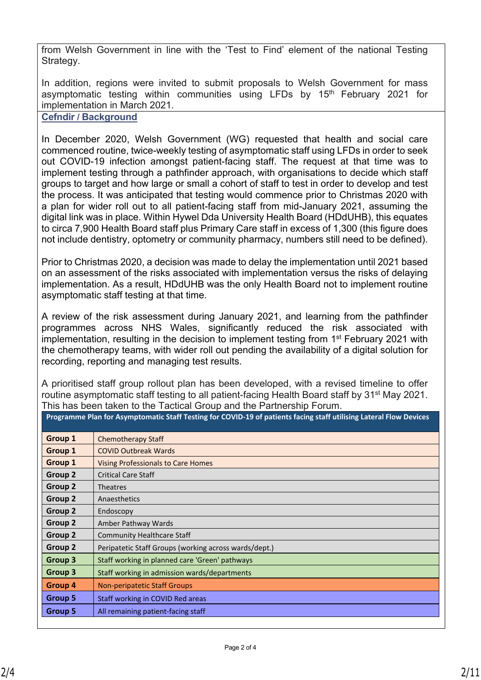from Welsh Government in line with the 'Test to Find' element of the national Testing Strategy.

In addition, regions were invited to submit proposals to Welsh Government for mass asymptomatic testing within communities using LFDs by 15<sup>th</sup> February 2021 for implementation in March 2021.

**Cefndir / Background**

In December 2020, Welsh Government (WG) requested that health and social care commenced routine, twice-weekly testing of asymptomatic staff using LFDs in order to seek out COVID-19 infection amongst patient-facing staff. The request at that time was to implement testing through a pathfinder approach, with organisations to decide which staff groups to target and how large or small a cohort of staff to test in order to develop and test the process. It was anticipated that testing would commence prior to Christmas 2020 with a plan for wider roll out to all patient-facing staff from mid-January 2021, assuming the digital link was in place. Within Hywel Dda University Health Board (HDdUHB), this equates to circa 7,900 Health Board staff plus Primary Care staff in excess of 1,300 (this figure does not include dentistry, optometry or community pharmacy, numbers still need to be defined).

Prior to Christmas 2020, a decision was made to delay the implementation until 2021 based on an assessment of the risks associated with implementation versus the risks of delaying implementation. As a result, HDdUHB was the only Health Board not to implement routine asymptomatic staff testing at that time.

A review of the risk assessment during January 2021, and learning from the pathfinder programmes across NHS Wales, significantly reduced the risk associated with implementation, resulting in the decision to implement testing from 1<sup>st</sup> February 2021 with the chemotherapy teams, with wider roll out pending the availability of a digital solution for recording, reporting and managing test results.

A prioritised staff group rollout plan has been developed, with a revised timeline to offer routine asymptomatic staff testing to all patient-facing Health Board staff by 31<sup>st</sup> May 2021. This has been taken to the Tactical Group and the Partnership Forum.

| Programme Plan for Asymptomatic Staff Testing for COVID-19 of patients facing staff utilising Lateral Flow Devices |  |  |  |  |  |
|--------------------------------------------------------------------------------------------------------------------|--|--|--|--|--|
|                                                                                                                    |  |  |  |  |  |

| <b>Group 1</b> | <b>Chemotherapy Staff</b>                             |
|----------------|-------------------------------------------------------|
| Group 1        | <b>COVID Outbreak Wards</b>                           |
| Group 1        | <b>Vising Professionals to Care Homes</b>             |
| Group 2        | <b>Critical Care Staff</b>                            |
| Group 2        | Theatres                                              |
| Group 2        | Anaesthetics                                          |
| Group 2        | Endoscopy                                             |
| Group 2        | Amber Pathway Wards                                   |
| Group 2        | <b>Community Healthcare Staff</b>                     |
| Group 2        | Peripatetic Staff Groups (working across wards/dept.) |
| Group 3        | Staff working in planned care 'Green' pathways        |
| Group 3        | Staff working in admission wards/departments          |
| Group 4        | <b>Non-peripatetic Staff Groups</b>                   |
| <b>Group 5</b> | Staff working in COVID Red areas                      |
| Group 5        | All remaining patient-facing staff                    |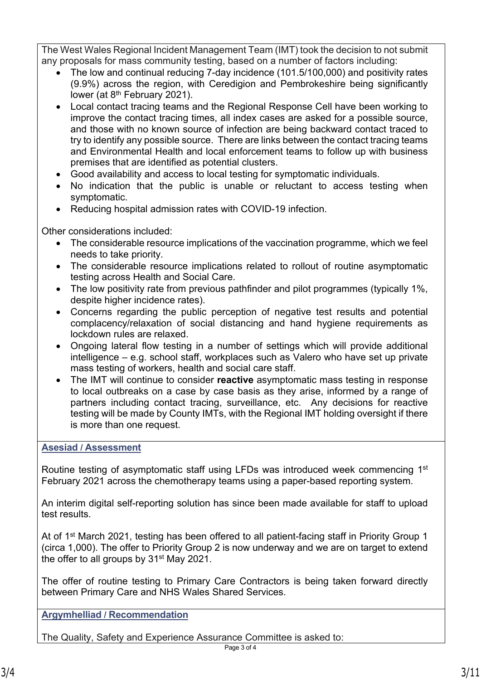The West Wales Regional Incident Management Team (IMT) took the decision to not submit any proposals for mass community testing, based on a number of factors including:

- The low and continual reducing 7-day incidence (101.5/100,000) and positivity rates (9.9%) across the region, with Ceredigion and Pembrokeshire being significantly lower (at 8<sup>th</sup> February 2021).
- Local contact tracing teams and the Regional Response Cell have been working to improve the contact tracing times, all index cases are asked for a possible source, and those with no known source of infection are being backward contact traced to try to identify any possible source. There are links between the contact tracing teams and Environmental Health and local enforcement teams to follow up with business premises that are identified as potential clusters.
- Good availability and access to local testing for symptomatic individuals.
- No indication that the public is unable or reluctant to access testing when symptomatic.
- Reducing hospital admission rates with COVID-19 infection.

Other considerations included:

- The considerable resource implications of the vaccination programme, which we feel needs to take priority.
- The considerable resource implications related to rollout of routine asymptomatic testing across Health and Social Care.
- The low positivity rate from previous pathfinder and pilot programmes (typically 1%, despite higher incidence rates).
- Concerns regarding the public perception of negative test results and potential complacency/relaxation of social distancing and hand hygiene requirements as lockdown rules are relaxed.
- Ongoing lateral flow testing in a number of settings which will provide additional intelligence – e.g. school staff, workplaces such as Valero who have set up private mass testing of workers, health and social care staff.
- The IMT will continue to consider **reactive** asymptomatic mass testing in response to local outbreaks on a case by case basis as they arise, informed by a range of partners including contact tracing, surveillance, etc. Any decisions for reactive testing will be made by County IMTs, with the Regional IMT holding oversight if there is more than one request.

# **Asesiad / Assessment**

Routine testing of asymptomatic staff using LFDs was introduced week commencing 1<sup>st</sup> February 2021 across the chemotherapy teams using a paper-based reporting system.

An interim digital self-reporting solution has since been made available for staff to upload test results.

At of 1st March 2021, testing has been offered to all patient-facing staff in Priority Group 1 (circa 1,000). The offer to Priority Group 2 is now underway and we are on target to extend the offer to all groups by 31st May 2021.

The offer of routine testing to Primary Care Contractors is being taken forward directly between Primary Care and NHS Wales Shared Services.

**Argymhelliad / Recommendation**

The Quality, Safety and Experience Assurance Committee is asked to: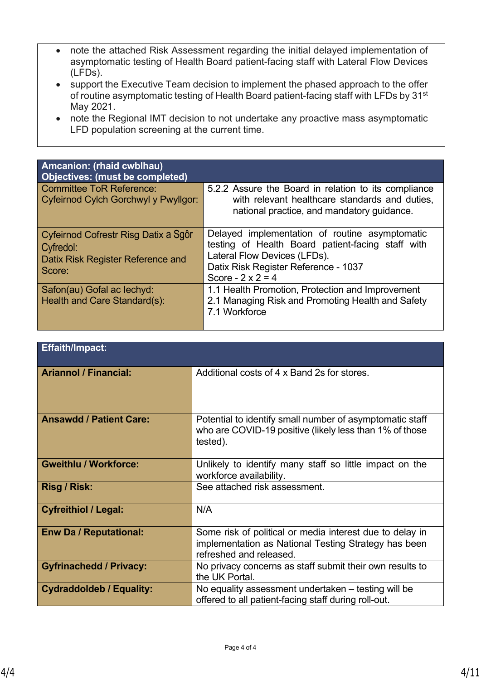- note the attached Risk Assessment regarding the initial delayed implementation of asymptomatic testing of Health Board patient-facing staff with Lateral Flow Devices (LFDs).
- support the Executive Team decision to implement the phased approach to the offer of routine asymptomatic testing of Health Board patient-facing staff with LFDs by 31st May 2021.
- note the Regional IMT decision to not undertake any proactive mass asymptomatic LFD population screening at the current time.

| Amcanion: (rhaid cwblhau)<br>Objectives: (must be completed)                                     |                                                                                                                                                                                                        |
|--------------------------------------------------------------------------------------------------|--------------------------------------------------------------------------------------------------------------------------------------------------------------------------------------------------------|
| <b>Committee ToR Reference:</b><br>Cyfeirnod Cylch Gorchwyl y Pwyllgor:                          | 5.2.2 Assure the Board in relation to its compliance<br>with relevant healthcare standards and duties,<br>national practice, and mandatory guidance.                                                   |
| Cyfeirnod Cofrestr Risg Datix a Sgôr<br>Cyfredol:<br>Datix Risk Register Reference and<br>Score: | Delayed implementation of routine asymptomatic<br>testing of Health Board patient-facing staff with<br>Lateral Flow Devices (LFDs).<br>Datix Risk Register Reference - 1037<br>Score $-2 \times 2 = 4$ |
| Safon(au) Gofal ac lechyd:<br>Health and Care Standard(s):                                       | 1.1 Health Promotion, Protection and Improvement<br>2.1 Managing Risk and Promoting Health and Safety<br>7.1 Workforce                                                                                 |

| <b>Effaith/Impact:</b>          |                                                                                                                                             |
|---------------------------------|---------------------------------------------------------------------------------------------------------------------------------------------|
| <b>Ariannol / Financial:</b>    | Additional costs of 4 x Band 2s for stores.                                                                                                 |
| <b>Ansawdd / Patient Care:</b>  | Potential to identify small number of asymptomatic staff<br>who are COVID-19 positive (likely less than 1% of those<br>tested).             |
| <b>Gweithlu / Workforce:</b>    | Unlikely to identify many staff so little impact on the<br>workforce availability.                                                          |
| Risg / Risk:                    | See attached risk assessment.                                                                                                               |
| <b>Cyfreithiol / Legal:</b>     | N/A                                                                                                                                         |
| <b>Enw Da / Reputational:</b>   | Some risk of political or media interest due to delay in<br>implementation as National Testing Strategy has been<br>refreshed and released. |
| <b>Gyfrinachedd / Privacy:</b>  | No privacy concerns as staff submit their own results to<br>the UK Portal.                                                                  |
| <b>Cydraddoldeb / Equality:</b> | No equality assessment undertaken – testing will be<br>offered to all patient-facing staff during roll-out.                                 |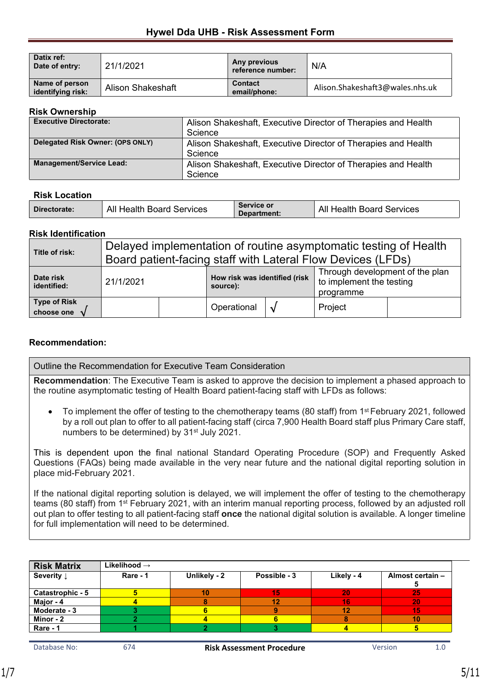## **Hywel Dda UHB - Risk Assessment Form**

| Datix ref:<br>Date of entry:        | 21/1/2021                | Any previous<br>reference number: | N/A                             |
|-------------------------------------|--------------------------|-----------------------------------|---------------------------------|
| Name of person<br>identifying risk: | <b>Alison Shakeshaft</b> | <b>Contact</b><br>email/phone:    | Alison.Shakeshaft3@wales.nhs.uk |

#### **Risk Ownership**

| <b>Executive Directorate:</b>    | Alison Shakeshaft, Executive Director of Therapies and Health |  |  |  |
|----------------------------------|---------------------------------------------------------------|--|--|--|
|                                  | Science                                                       |  |  |  |
| Delegated Risk Owner: (OPS ONLY) | Alison Shakeshaft, Executive Director of Therapies and Health |  |  |  |
|                                  | Science                                                       |  |  |  |
| <b>Management/Service Lead:</b>  | Alison Shakeshaft, Executive Director of Therapies and Health |  |  |  |
|                                  | Science                                                       |  |  |  |

#### **Risk Location**

| All Health Board Services | Service or         | All                          |
|---------------------------|--------------------|------------------------------|
| Directorate:              | <b>Department:</b> | <b>Health Board Services</b> |

#### **Risk Identification**

| Title of risk:                    | Delayed implementation of routine asymptomatic testing of Health<br>Board patient-facing staff with Lateral Flow Devices (LFDs) |  |                                           |            |                                                                          |  |
|-----------------------------------|---------------------------------------------------------------------------------------------------------------------------------|--|-------------------------------------------|------------|--------------------------------------------------------------------------|--|
| Date risk<br>identified:          | 21/1/2021                                                                                                                       |  | How risk was identified (risk<br>source): |            | Through development of the plan<br>to implement the testing<br>programme |  |
| <b>Type of Risk</b><br>choose one |                                                                                                                                 |  | Operational                               | $\sqrt{ }$ | Project                                                                  |  |

## **Recommendation:**

| Outline the Recommendation for Executive Team Consideration                                                                                                                                                  |  |  |  |
|--------------------------------------------------------------------------------------------------------------------------------------------------------------------------------------------------------------|--|--|--|
| <b>Recommendation</b> : The Executive Team is asked to approve the decision to implement a phased approach to<br>the routine asymptomatic testing of Health Board patient-facing staff with LFDs as follows: |  |  |  |

• To implement the offer of testing to the chemotherapy teams (80 staff) from 1<sup>st</sup> February 2021, followed by a roll out plan to offer to all patient-facing staff (circa 7,900 Health Board staff plus Primary Care staff, numbers to be determined) by 31<sup>st</sup> July 2021.

This is dependent upon the final national Standard Operating Procedure (SOP) and Frequently Asked Questions (FAQs) being made available in the very near future and the national digital reporting solution in place mid-February 2021.

If the national digital reporting solution is delayed, we will implement the offer of testing to the chemotherapy teams (80 staff) from 1<sup>st</sup> February 2021, with an interim manual reporting process, followed by an adjusted roll out plan to offer testing to all patient-facing staff **once** the national digital solution is available. A longer timeline for full implementation will need to be determined.

| <b>Risk Matrix</b>    | Likelihood $\rightarrow$ |              |              |            |                  |
|-----------------------|--------------------------|--------------|--------------|------------|------------------|
| Severity $\downarrow$ | Rare - 1                 | Unlikely - 2 | Possible - 3 | Likely - 4 | Almost certain - |
| Catastrophic - 5      |                          |              | 15           | 20         | 25               |
| Major - 4             |                          |              |              | 16         | 20               |
| Moderate - 3          |                          |              |              |            | 15               |
| Minor - 2             |                          |              |              |            | 10               |
| Rare - 1              |                          |              |              |            |                  |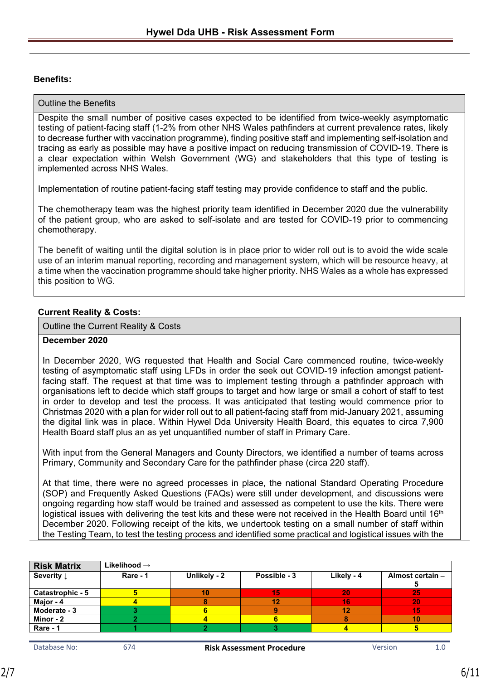## **Benefits:**

#### Outline the Benefits

Despite the small number of positive cases expected to be identified from twice-weekly asymptomatic testing of patient-facing staff (1-2% from other NHS Wales pathfinders at current prevalence rates, likely to decrease further with vaccination programme), finding positive staff and implementing self-isolation and tracing as early as possible may have a positive impact on reducing transmission of COVID-19. There is a clear expectation within Welsh Government (WG) and stakeholders that this type of testing is implemented across NHS Wales.

Implementation of routine patient-facing staff testing may provide confidence to staff and the public.

The chemotherapy team was the highest priority team identified in December 2020 due the vulnerability of the patient group, who are asked to self-isolate and are tested for COVID-19 prior to commencing chemotherapy.

The benefit of waiting until the digital solution is in place prior to wider roll out is to avoid the wide scale use of an interim manual reporting, recording and management system, which will be resource heavy, at a time when the vaccination programme should take higher priority. NHS Wales as a whole has expressed this position to WG.

## **Current Reality & Costs:**

Outline the Current Reality & Costs

#### **December 2020**

In December 2020, WG requested that Health and Social Care commenced routine, twice-weekly testing of asymptomatic staff using LFDs in order the seek out COVID-19 infection amongst patientfacing staff. The request at that time was to implement testing through a pathfinder approach with organisations left to decide which staff groups to target and how large or small a cohort of staff to test in order to develop and test the process. It was anticipated that testing would commence prior to Christmas 2020 with a plan for wider roll out to all patient-facing staff from mid-January 2021, assuming the digital link was in place. Within Hywel Dda University Health Board, this equates to circa 7,900 Health Board staff plus an as yet unquantified number of staff in Primary Care.

With input from the General Managers and County Directors, we identified a number of teams across Primary, Community and Secondary Care for the pathfinder phase (circa 220 staff).

At that time, there were no agreed processes in place, the national Standard Operating Procedure (SOP) and Frequently Asked Questions (FAQs) were still under development, and discussions were ongoing regarding how staff would be trained and assessed as competent to use the kits. There were logistical issues with delivering the test kits and these were not received in the Health Board until 16<sup>th</sup> December 2020. Following receipt of the kits, we undertook testing on a small number of staff within the Testing Team, to test the testing process and identified some practical and logistical issues with the

| <b>Risk Matrix</b>    | Likelihood $\rightarrow$ |              |              |            |                  |
|-----------------------|--------------------------|--------------|--------------|------------|------------------|
| Severity $\downarrow$ | Rare - 1                 | Unlikely - 2 | Possible - 3 | Likely - 4 | Almost certain - |
| Catastrophic - 5      |                          | 10           |              | 20         | 25               |
| Major - 4             |                          |              |              | 16         | 20               |
| Moderate - 3          |                          |              |              | 12         | 15               |
| Minor - 2             |                          |              |              |            | 10               |
| Rare - 1              |                          |              |              |            |                  |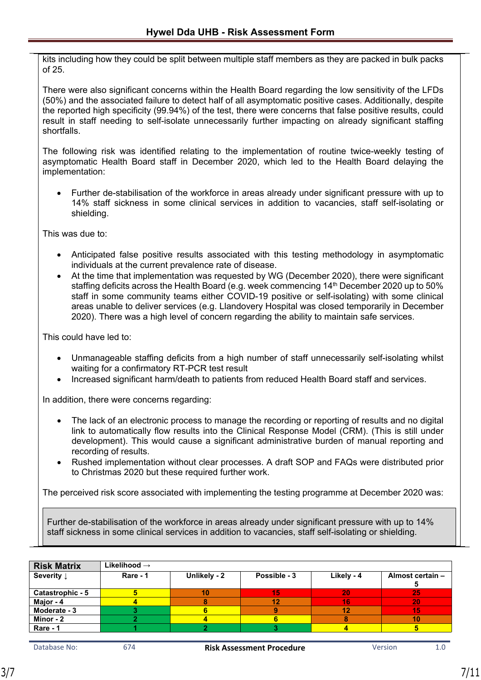kits including how they could be split between multiple staff members as they are packed in bulk packs of 25.

There were also significant concerns within the Health Board regarding the low sensitivity of the LFDs (50%) and the associated failure to detect half of all asymptomatic positive cases. Additionally, despite the reported high specificity (99.94%) of the test, there were concerns that false positive results, could result in staff needing to self-isolate unnecessarily further impacting on already significant staffing shortfalls.

The following risk was identified relating to the implementation of routine twice-weekly testing of asymptomatic Health Board staff in December 2020, which led to the Health Board delaying the implementation:

 Further de-stabilisation of the workforce in areas already under significant pressure with up to 14% staff sickness in some clinical services in addition to vacancies, staff self-isolating or shielding.

This was due to:

- Anticipated false positive results associated with this testing methodology in asymptomatic individuals at the current prevalence rate of disease.
- At the time that implementation was requested by WG (December 2020), there were significant staffing deficits across the Health Board (e.g. week commencing 14th December 2020 up to 50% staff in some community teams either COVID-19 positive or self-isolating) with some clinical areas unable to deliver services (e.g. Llandovery Hospital was closed temporarily in December 2020). There was a high level of concern regarding the ability to maintain safe services.

This could have led to:

- Unmanageable staffing deficits from a high number of staff unnecessarily self-isolating whilst waiting for a confirmatory RT-PCR test result
- Increased significant harm/death to patients from reduced Health Board staff and services.

In addition, there were concerns regarding:

- The lack of an electronic process to manage the recording or reporting of results and no digital link to automatically flow results into the Clinical Response Model (CRM). (This is still under development). This would cause a significant administrative burden of manual reporting and recording of results.
- Rushed implementation without clear processes. A draft SOP and FAQs were distributed prior to Christmas 2020 but these required further work.

The perceived risk score associated with implementing the testing programme at December 2020 was:

Further de-stabilisation of the workforce in areas already under significant pressure with up to 14% staff sickness in some clinical services in addition to vacancies, staff self-isolating or shielding.

| <b>Risk Matrix</b>    | Likelihood $\rightarrow$ |              |              |            |                  |
|-----------------------|--------------------------|--------------|--------------|------------|------------------|
| Severity $\downarrow$ | Rare - 1                 | Unlikely - 2 | Possible - 3 | Likely - 4 | Almost certain - |
| Catastrophic - 5      | 5                        | 10           | 15           | 20         | -25              |
| Major - 4             |                          |              | 12           | 16         | 20               |
| Moderate - 3          |                          |              |              | 12         | 15               |
| Minor - 2             |                          |              |              | 8          | 10               |
| Rare - 1              |                          |              |              |            |                  |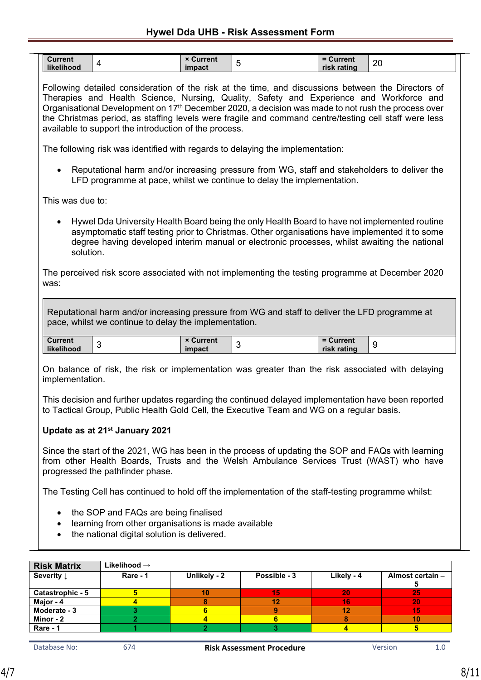## **Hywel Dda UHB - Risk Assessment Form**

| <b>Current</b><br>.<br>like<br>љc | .<br>$\bullet\bullet$<br><b>Current</b><br>$\sim$<br>impact | <b>urrent</b><br>റ<br>$\sim$<br>risk<br><b>&lt; ratin</b> q |  |
|-----------------------------------|-------------------------------------------------------------|-------------------------------------------------------------|--|
|-----------------------------------|-------------------------------------------------------------|-------------------------------------------------------------|--|

Following detailed consideration of the risk at the time, and discussions between the Directors of Therapies and Health Science, Nursing, Quality, Safety and Experience and Workforce and Organisational Development on 17<sup>th</sup> December 2020, a decision was made to not rush the process over the Christmas period, as staffing levels were fragile and command centre/testing cell staff were less available to support the introduction of the process.

The following risk was identified with regards to delaying the implementation:

 Reputational harm and/or increasing pressure from WG, staff and stakeholders to deliver the LFD programme at pace, whilst we continue to delay the implementation.

This was due to:

 Hywel Dda University Health Board being the only Health Board to have not implemented routine asymptomatic staff testing prior to Christmas. Other organisations have implemented it to some degree having developed interim manual or electronic processes, whilst awaiting the national solution.

The perceived risk score associated with not implementing the testing programme at December 2020 was:

Reputational harm and/or increasing pressure from WG and staff to deliver the LFD programme at pace, whilst we continue to delay the implementation.

|  | Current<br>likelih<br>nood | urrent<br>impact | <b>Current</b><br>$ -$<br>risk rating |
|--|----------------------------|------------------|---------------------------------------|
|--|----------------------------|------------------|---------------------------------------|

On balance of risk, the risk or implementation was greater than the risk associated with delaying implementation.

This decision and further updates regarding the continued delayed implementation have been reported to Tactical Group, Public Health Gold Cell, the Executive Team and WG on a regular basis.

## **Update as at 21st January 2021**

Since the start of the 2021, WG has been in the process of updating the SOP and FAQs with learning from other Health Boards, Trusts and the Welsh Ambulance Services Trust (WAST) who have progressed the pathfinder phase.

The Testing Cell has continued to hold off the implementation of the staff-testing programme whilst:

- the SOP and FAQs are being finalised
- learning from other organisations is made available
- the national digital solution is delivered.

| <b>Risk Matrix</b>    | Likelihood $\rightarrow$ |              |              |            |                  |
|-----------------------|--------------------------|--------------|--------------|------------|------------------|
| Severity $\downarrow$ | Rare - 1                 | Unlikely - 2 | Possible - 3 | Likely - 4 | Almost certain - |
|                       |                          |              |              |            |                  |
| Catastrophic - 5      |                          | 10           | 15           | 20         | 25               |
| Major - 4             |                          |              |              | 16         | 20               |
| Moderate - 3          |                          |              |              | 12         | 15               |
| Minor - 2             |                          |              |              | 8          | 10               |
| Rare - 1              |                          |              |              |            |                  |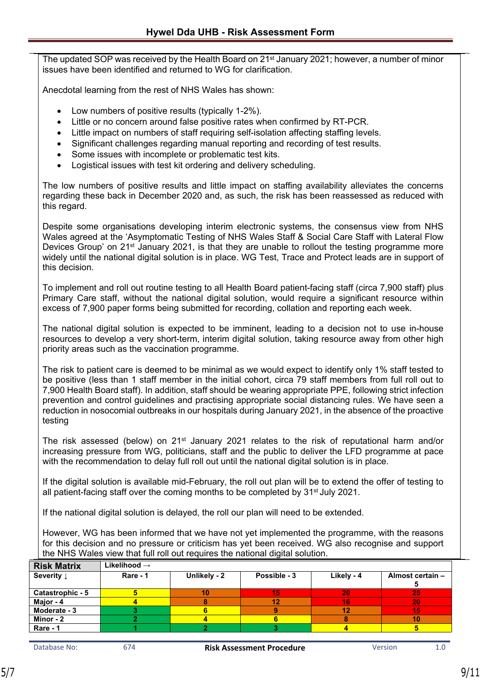The updated SOP was received by the Health Board on 21<sup>st</sup> January 2021; however, a number of minor issues have been identified and returned to WG for clarification.

Anecdotal learning from the rest of NHS Wales has shown:

- Low numbers of positive results (typically 1-2%).
- Little or no concern around false positive rates when confirmed by RT-PCR.
- Little impact on numbers of staff requiring self-isolation affecting staffing levels.
- Significant challenges regarding manual reporting and recording of test results.
- Some issues with incomplete or problematic test kits.
- Logistical issues with test kit ordering and delivery scheduling.

The low numbers of positive results and little impact on staffing availability alleviates the concerns regarding these back in December 2020 and, as such, the risk has been reassessed as reduced with this regard.

Despite some organisations developing interim electronic systems, the consensus view from NHS Wales agreed at the 'Asymptomatic Testing of NHS Wales Staff & Social Care Staff with Lateral Flow Devices Group' on 21 $\mathrm{st}$  January 2021, is that they are unable to rollout the testing programme more widely until the national digital solution is in place. WG Test, Trace and Protect leads are in support of this decision.

To implement and roll out routine testing to all Health Board patient-facing staff (circa 7,900 staff) plus Primary Care staff, without the national digital solution, would require a significant resource within excess of 7,900 paper forms being submitted for recording, collation and reporting each week.

The national digital solution is expected to be imminent, leading to a decision not to use in-house resources to develop a very short-term, interim digital solution, taking resource away from other high priority areas such as the vaccination programme.

The risk to patient care is deemed to be minimal as we would expect to identify only 1% staff tested to be positive (less than 1 staff member in the initial cohort, circa 79 staff members from full roll out to 7,900 Health Board staff). In addition, staff should be wearing appropriate PPE, following strict infection prevention and control guidelines and practising appropriate social distancing rules. We have seen a reduction in nosocomial outbreaks in our hospitals during January 2021, in the absence of the proactive testing

The risk assessed (below) on 21<sup>st</sup> January 2021 relates to the risk of reputational harm and/or increasing pressure from WG, politicians, staff and the public to deliver the LFD programme at pace with the recommendation to delay full roll out until the national digital solution is in place.

If the digital solution is available mid-February, the roll out plan will be to extend the offer of testing to all patient-facing staff over the coming months to be completed by  $31<sup>st</sup>$  July 2021.

If the national digital solution is delayed, the roll our plan will need to be extended.

However, WG has been informed that we have not yet implemented the programme, with the reasons for this decision and no pressure or criticism has yet been received. WG also recognise and support the NHS Wales view that full roll out requires the national digital solution.

| <b>Risk Matrix</b>    | Likelihood $\rightarrow$ |              |              |            |                  |
|-----------------------|--------------------------|--------------|--------------|------------|------------------|
| Severity $\downarrow$ | Rare - 1                 | Unlikely - 2 | Possible - 3 | Likely - 4 | Almost certain - |
| Catastrophic - 5      |                          |              | 15           | 20         | -25              |
| Major - 4             |                          |              |              | 16         | 20               |
| Moderate - 3          |                          |              |              | 12         | 15               |
| Minor - 2             |                          |              |              |            | 10               |
| Rare - 1              |                          |              |              |            |                  |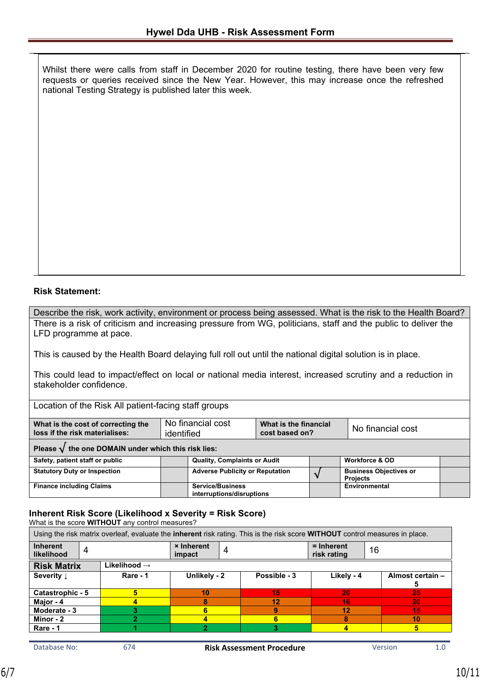Whilst there were calls from staff in December 2020 for routine testing, there have been very few requests or queries received since the New Year. However, this may increase once the refreshed national Testing Strategy is published later this week.

## **Risk Statement:**

Describe the risk, work activity, environment or process being assessed. What is the risk to the Health Board? There is a risk of criticism and increasing pressure from WG, politicians, staff and the public to deliver the LFD programme at pace.

This is caused by the Health Board delaying full roll out until the national digital solution is in place.

This could lead to impact/effect on local or national media interest, increased scrutiny and a reduction in stakeholder confidence.

Location of the Risk All patient-facing staff groups

| What is the cost of correcting the<br><b>loss if the risk materialises:</b> | No financial cost<br>identified | What is the financial<br>cost based on? | No financial cost |
|-----------------------------------------------------------------------------|---------------------------------|-----------------------------------------|-------------------|
|                                                                             |                                 |                                         |                   |

#### **Please √ the one DOMAIN under which this risk lies:**

| Safety, patient staff or public     | <b>Quality, Complaints or Audit</b>                  |  | <b>Workforce &amp; OD</b>                        |  |
|-------------------------------------|------------------------------------------------------|--|--------------------------------------------------|--|
| <b>Statutory Duty or Inspection</b> | <b>Adverse Publicity or Reputation</b>               |  | <b>Business Objectives or</b><br><b>Projects</b> |  |
| <b>Finance including Claims</b>     | <b>Service/Business</b><br>interruptions/disruptions |  | Environmental                                    |  |

## **Inherent Risk Score (Likelihood x Severity = Risk Score)**

What is the score **WITHOUT** any control measures?

Using the risk matrix overleaf, evaluate the **inherent** risk rating. This is the risk score **WITHOUT** control measures in place.

| <b>Inherent</b><br>4<br>likelihood |                          | <b>× Inherent</b><br>4<br>impact |              | $=$ Inherent<br>16<br>risk rating |                  |
|------------------------------------|--------------------------|----------------------------------|--------------|-----------------------------------|------------------|
| <b>Risk Matrix</b>                 | Likelihood $\rightarrow$ |                                  |              |                                   |                  |
| Severity $\downarrow$              | Rare - 1                 | Unlikely - 2                     | Possible - 3 | Likely - 4                        | Almost certain - |
|                                    |                          |                                  |              |                                   |                  |
| Catastrophic - 5                   | 5                        | 10                               | 15           | 20                                | 25               |
| Major - 4                          | 4                        |                                  | 12           | 16                                | 20               |
| Moderate - 3                       |                          |                                  | 9            | 12                                | 15               |
| Minor - 2                          |                          |                                  |              | 8                                 | 10               |
| Rare - 1                           |                          |                                  |              |                                   | 5                |